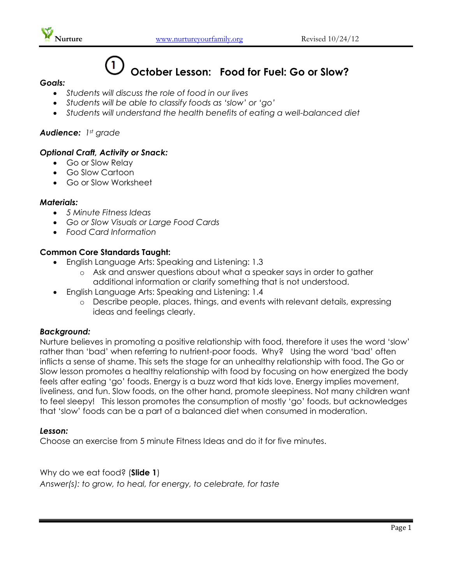

# **October Lesson: Food for Fuel: Go or Slow?**

#### *Goals:*

- *Students will discuss the role of food in our lives*
- *Students will be able to classify foods as 'slow' or 'go'*
- *Students will understand the health benefits of eating a well-balanced diet*

## *Audience: 1st grade*

## *Optional Craft, Activity or Snack:*

- Go or Slow Relay
- Go Slow Cartoon
- Go or Slow Worksheet

#### *Materials:*

- *5 Minute Fitness Ideas*
- *Go or Slow Visuals or Large Food Cards*
- *Food Card Information*

## **Common Core Standards Taught:**

- English Language Arts: Speaking and Listening: 1.3
	- o Ask and answer questions about what a speaker says in order to gather additional information or clarify something that is not understood.
- English Language Arts: Speaking and Listening: 1.4
	- o Describe people, places, things, and events with relevant details, expressing ideas and feelings clearly.

## *Background:*

Nurture believes in promoting a positive relationship with food, therefore it uses the word 'slow' rather than 'bad' when referring to nutrient-poor foods. Why? Using the word 'bad' often inflicts a sense of shame. This sets the stage for an unhealthy relationship with food. The Go or Slow lesson promotes a healthy relationship with food by focusing on how energized the body feels after eating 'go' foods. Energy is a buzz word that kids love. Energy implies movement, liveliness, and fun. Slow foods, on the other hand, promote sleepiness. Not many children want to feel sleepy! This lesson promotes the consumption of mostly 'go' foods, but acknowledges that 'slow' foods can be a part of a balanced diet when consumed in moderation.

#### *Lesson:*

Choose an exercise from 5 minute Fitness Ideas and do it for five minutes.

Why do we eat food? (**Slide 1**) *Answer(s): to grow, to heal, for energy, to celebrate, for taste*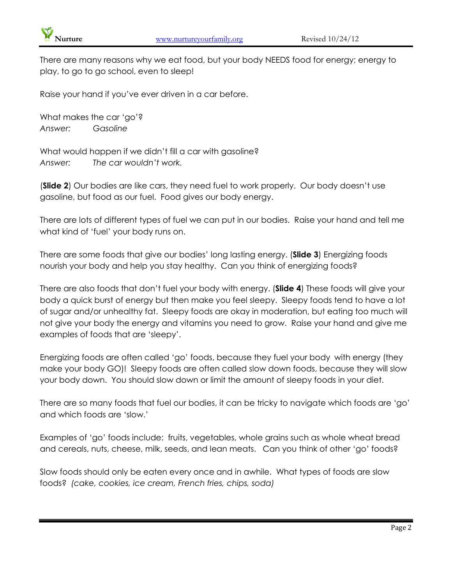

There are many reasons why we eat food, but your body NEEDS food for energy; energy to play, to go to go school, even to sleep!

Raise your hand if you've ever driven in a car before.

What makes the car 'go'? *Answer: Gasoline*

What would happen if we didn't fill a car with gasoline? *Answer: The car wouldn't work.*

(**Slide 2**) Our bodies are like cars, they need fuel to work properly. Our body doesn't use gasoline, but food as our fuel. Food gives our body energy.

There are lots of different types of fuel we can put in our bodies. Raise your hand and tell me what kind of 'fuel' your body runs on.

There are some foods that give our bodies' long lasting energy. (**Slide 3**) Energizing foods nourish your body and help you stay healthy. Can you think of energizing foods?

There are also foods that don't fuel your body with energy. (**Slide 4**) These foods will give your body a quick burst of energy but then make you feel sleepy. Sleepy foods tend to have a lot of sugar and/or unhealthy fat. Sleepy foods are okay in moderation, but eating too much will not give your body the energy and vitamins you need to grow. Raise your hand and give me examples of foods that are 'sleepy'.

Energizing foods are often called 'go' foods, because they fuel your body with energy (they make your body GO)! Sleepy foods are often called slow down foods, because they will slow your body down. You should slow down or limit the amount of sleepy foods in your diet.

There are so many foods that fuel our bodies, it can be tricky to navigate which foods are 'go' and which foods are 'slow.'

Examples of 'go' foods include: fruits, vegetables, whole grains such as whole wheat bread and cereals, nuts, cheese, milk, seeds, and lean meats. Can you think of other 'go' foods?

Slow foods should only be eaten every once and in awhile. What types of foods are slow foods? *(cake, cookies, ice cream, French fries, chips, soda)*